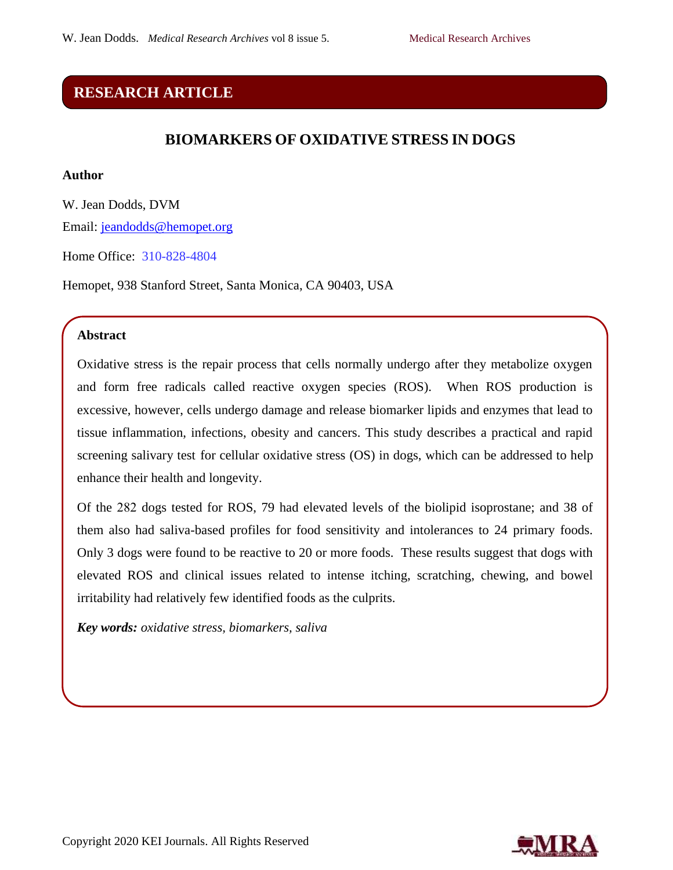## **RESEARCH ARTICLE**

## **BIOMARKERS OF OXIDATIVE STRESS IN DOGS**

### **Author**

W. Jean Dodds, DVM Email: [jeandodds@hemopet.org](mailto:jeandodds@hemopet.org) 

Home Office: 310-828-4804

Hemopet, 938 Stanford Street, Santa Monica, CA 90403, USA

## **Abstract**

Oxidative stress is the repair process that cells normally undergo after they metabolize oxygen and form free radicals called reactive oxygen species (ROS). When ROS production is excessive, however, cells undergo damage and release biomarker lipids and enzymes that lead to tissue inflammation, infections, obesity and cancers. This study describes a practical and rapid screening salivary test for cellular oxidative stress (OS) in dogs, which can be addressed to help enhance their health and longevity.

Of the 282 dogs tested for ROS, 79 had elevated levels of the biolipid isoprostane; and 38 of them also had saliva-based profiles for food sensitivity and intolerances to 24 primary foods. Only 3 dogs were found to be reactive to 20 or more foods. These results suggest that dogs with elevated ROS and clinical issues related to intense itching, scratching, chewing, and bowel irritability had relatively few identified foods as the culprits.

*Key words: oxidative stress, biomarkers, saliva*

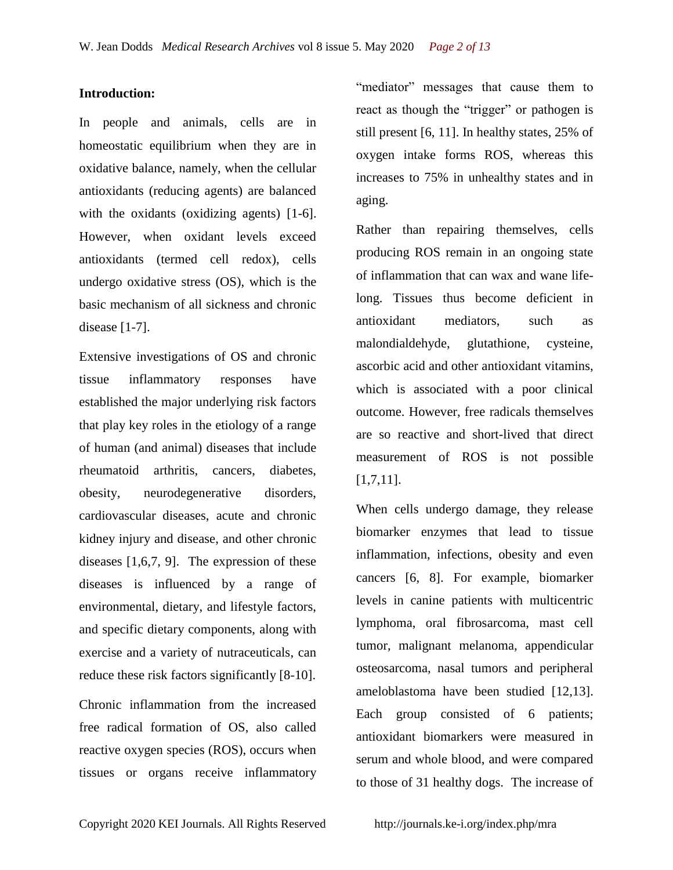### **Introduction:**

In people and animals, cells are in homeostatic equilibrium when they are in oxidative balance, namely, when the cellular antioxidants (reducing agents) are balanced with the oxidants (oxidizing agents) [1-6]. However, when oxidant levels exceed antioxidants (termed cell redox), cells undergo oxidative stress (OS), which is the basic mechanism of all sickness and chronic disease [1-7].

Extensive investigations of OS and chronic tissue inflammatory responses have established the major underlying risk factors that play key roles in the etiology of a range of human (and animal) diseases that include rheumatoid arthritis, cancers, diabetes, obesity, neurodegenerative disorders, cardiovascular diseases, acute and chronic kidney injury and disease, and other chronic diseases [1,6,7, 9]. The expression of these diseases is influenced by a range of environmental, dietary, and lifestyle factors, and specific dietary components, along with exercise and a variety of nutraceuticals, can reduce these risk factors significantly [8-10]. Chronic inflammation from the increased free radical formation of OS, also called reactive oxygen species (ROS), occurs when "mediator" messages that cause them to react as though the "trigger" or pathogen is still present [6, 11]. In healthy states, 25% of oxygen intake forms ROS, whereas this increases to 75% in unhealthy states and in aging.

Rather than repairing themselves, cells producing ROS remain in an ongoing state of inflammation that can wax and wane lifelong. Tissues thus become deficient in antioxidant mediators, such as malondialdehyde, glutathione, cysteine, ascorbic acid and other antioxidant vitamins, which is associated with a poor clinical outcome. However, free radicals themselves are so reactive and short-lived that direct measurement of ROS is not possible [1,7,11].

When cells undergo damage, they release biomarker enzymes that lead to tissue inflammation, infections, obesity and even cancers [6, 8]. For example, biomarker levels in canine patients with multicentric lymphoma, oral fibrosarcoma, mast cell tumor, malignant melanoma, appendicular osteosarcoma, nasal tumors and peripheral ameloblastoma have been studied [12,13]. Each group consisted of 6 patients; antioxidant biomarkers were measured in serum and whole blood, and were compared to those of 31 healthy dogs. The increase of

tissues or organs receive inflammatory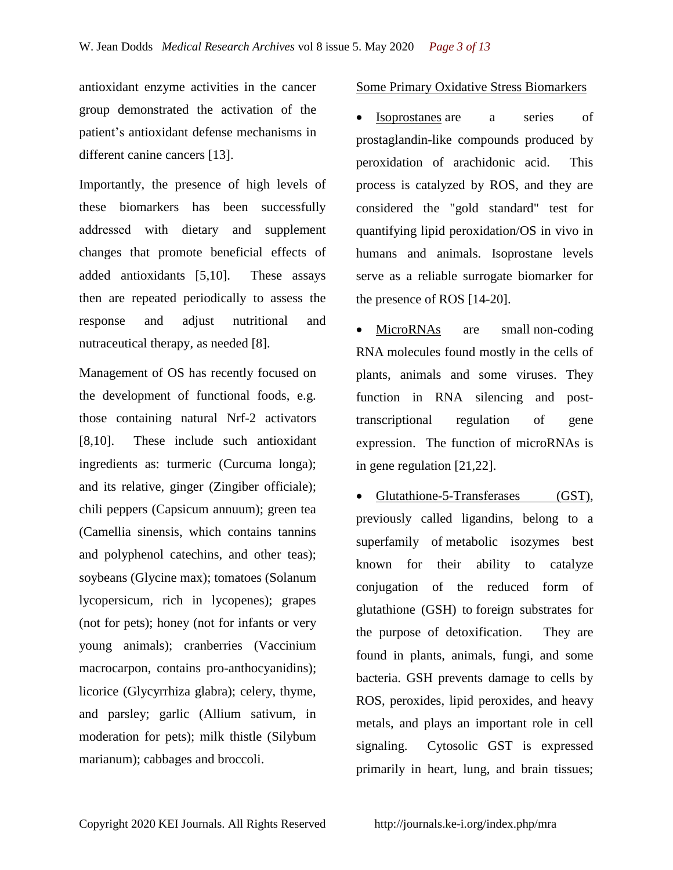antioxidant enzyme activities in the cancer group demonstrated the activation of the patient's antioxidant defense mechanisms in different canine cancers [13].

Importantly, the presence of high levels of these biomarkers has been successfully addressed with dietary and supplement changes that promote beneficial effects of added antioxidants [5,10]. These assays then are repeated periodically to assess the response and adjust nutritional and nutraceutical therapy, as needed [8].

Management of OS has recently focused on the development of functional foods, e.g. those containing natural Nrf-2 activators [8,10]. These include such antioxidant ingredients as: turmeric (Curcuma longa); and its relative, ginger (Zingiber officiale); chili peppers (Capsicum annuum); green tea (Camellia sinensis, which contains tannins and polyphenol catechins, and other teas); soybeans (Glycine max); tomatoes (Solanum lycopersicum, rich in lycopenes); grapes (not for pets); honey (not for infants or very young animals); cranberries (Vaccinium macrocarpon, contains pro-anthocyanidins); licorice (Glycyrrhiza glabra); celery, thyme, and parsley; garlic (Allium sativum, in moderation for pets); milk thistle (Silybum marianum); cabbages and broccoli.

## Some Primary Oxidative Stress Biomarkers

 Isoprostanes are a series of prostaglandin-like compounds produced by peroxidation of arachidonic acid. This process is catalyzed by ROS, and they are considered the "gold standard" test for quantifying lipid peroxidation/OS in vivo in humans and animals. Isoprostane levels serve as a reliable surrogate biomarker for the presence of ROS [14-20].

MicroRNAs are small non-coding [RNA](https://en.wikipedia.org/wiki/Non-coding_RNA) molecules found mostly in the cells of plants, animals and some viruses. They function in [RNA silencing](https://en.wikipedia.org/wiki/RNA_silencing) and posttranscriptional [regulation of gene](https://en.wikipedia.org/wiki/Regulation_of_gene_expression)  [expression.](https://en.wikipedia.org/wiki/Regulation_of_gene_expression) The function of microRNAs is in gene regulation [21,22].

 Glutathione-5-Transferases (GST), previously called ligandins, belong to a superfamily of metabolic [isozymes](https://en.wikipedia.org/wiki/Isozyme) best known for their ability to [catalyze](https://en.wikipedia.org/wiki/Catalysis)  conjugation of the reduced form of [glutathione](https://en.wikipedia.org/wiki/Glutathione) (GSH) to foreign substrates for the purpose of detoxification. They are found in plants, animals, fungi, and some bacteria. GSH prevents damage to cells by ROS, peroxides, lipid peroxides, and heavy metals, and plays an important role in cell signaling. Cytosolic GST is expressed primarily in heart, lung, and brain tissues;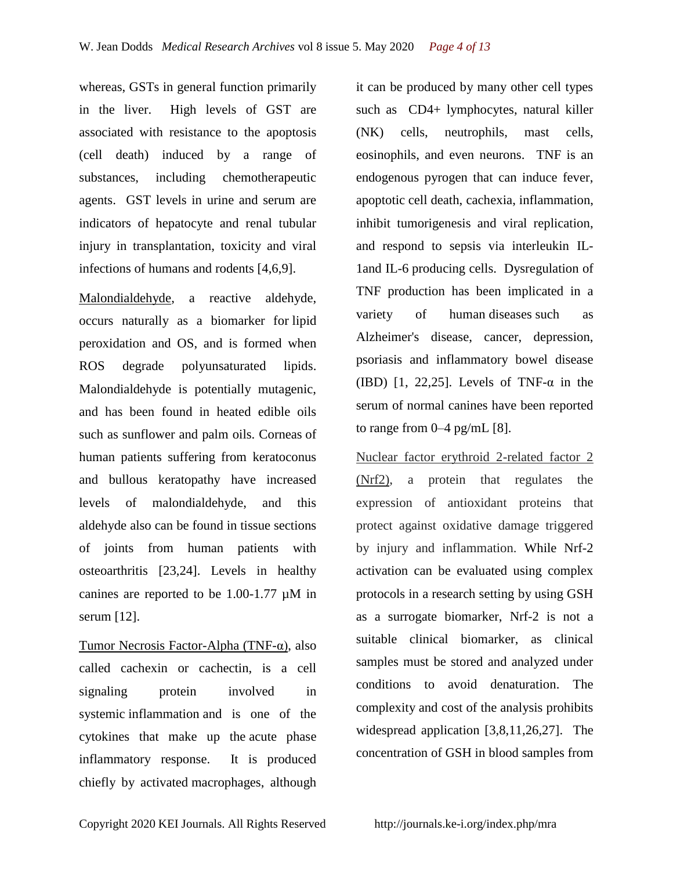whereas, GSTs in general function primarily in the liver. High levels of GST are associated with resistance to the apoptosis (cell death) induced by a range of substances, including chemotherapeutic agents. GST levels in urine and serum are indicators of hepatocyte and renal tubular injury in [transplantation,](https://en.wikipedia.org/wiki/Liver_transplantation) toxicity and viral infections of humans and rodents [4,6,9].

Malondialdehyde, a reactive aldehyde, occurs naturally as a biomarker for lipid peroxidation and OS, and is formed when ROS degrade [polyunsaturated lipids.](https://en.wikipedia.org/wiki/Polyunsaturated_fat) Malondialdehyde is potentially mutagenic, and has been found in heated edible oils such as sunflower and palm oils. [Corneas](https://en.wikipedia.org/wiki/Cornea) of human patients suffering from [keratoconus](https://en.wikipedia.org/wiki/Keratoconus)  and [bullous keratopathy](https://en.wikipedia.org/wiki/Bullous_keratopathy) have increased levels of malondialdehyde, and this aldehyde also can be found in tissue sections of joints from human patients with [osteoarthritis](https://en.wikipedia.org/wiki/Osteoarthritis) [23,24]. Levels in healthy canines are reported to be 1.00-1.77 µM in serum [12].

Tumor Necrosis Factor-Alpha (TNF-α), also called cachexin or cachectin, is a cell signaling protein involved in systemic [inflammation](https://en.wikipedia.org/wiki/Inflammation) and is one of the cytokines that make up the [acute phase](https://en.wikipedia.org/wiki/Acute_phase_reaction)  [inflammatory response.](https://en.wikipedia.org/wiki/Acute_phase_reaction) It is produced chiefly by activated [macrophages,](https://en.wikipedia.org/wiki/Macrophages) although it can be produced by many other cell types such as [CD4+ lymphocytes,](https://en.wikipedia.org/wiki/CD4%2B_lymphocytes) natural killer [\(NK\) cells,](https://en.wikipedia.org/wiki/NK_cells) [neutrophils,](https://en.wikipedia.org/wiki/Neutrophils) [mast cells,](https://en.wikipedia.org/wiki/Mast_cells) [eosinophils,](https://en.wikipedia.org/wiki/Eosinophils) and even [neurons.](https://en.wikipedia.org/wiki/Neurons) TNF is an endogenous pyrogen that can induce fever, [apoptotic](https://en.wikipedia.org/wiki/Apoptosis) cell death, [cachexia,](https://en.wikipedia.org/wiki/Cachexia) inflammation, inhibit [tumorigenesis](https://en.wikipedia.org/wiki/Tumorigenesis) and [viral replication,](https://en.wikipedia.org/wiki/Viral_replication) and respond to [sepsis](https://en.wikipedia.org/wiki/Sepsis) via interleukin [IL-](https://en.wikipedia.org/wiki/Interleukin_1)[1a](https://en.wikipedia.org/wiki/Interleukin_1)nd [IL-6](https://en.wikipedia.org/wiki/Interleukin_6) producing cells. Dysregulation of TNF production has been implicated in a variety of human [diseases](https://en.wikipedia.org/wiki/Disease) such as [Alzheimer's disease,](https://en.wikipedia.org/wiki/Alzheimer%27s_disease) [cancer,](https://en.wikipedia.org/wiki/Cancer) [depression,](https://en.wikipedia.org/wiki/Major_depression) [psoriasis](https://en.wikipedia.org/wiki/Psoriasis) and [inflammatory bowel disease](https://en.wikipedia.org/wiki/Inflammatory_bowel_disease)  (IBD)  $[1, 22.25]$ . Levels of TNF- $\alpha$  in the serum of normal canines have been reported to range from 0–4 pg/mL [8].

Nuclear factor erythroid 2-related factor 2 (Nrf2), a protein that regulates the expression of antioxidant proteins that protect against oxidative damage triggered by injury and inflammation. While Nrf-2 activation can be evaluated using complex protocols in a research setting by using GSH as a surrogate biomarker, Nrf-2 is not a suitable clinical biomarker, as clinical samples must be stored and analyzed under conditions to avoid denaturation. The complexity and cost of the analysis prohibits widespread application [3,8,11,26,27]. The concentration of GSH in blood samples from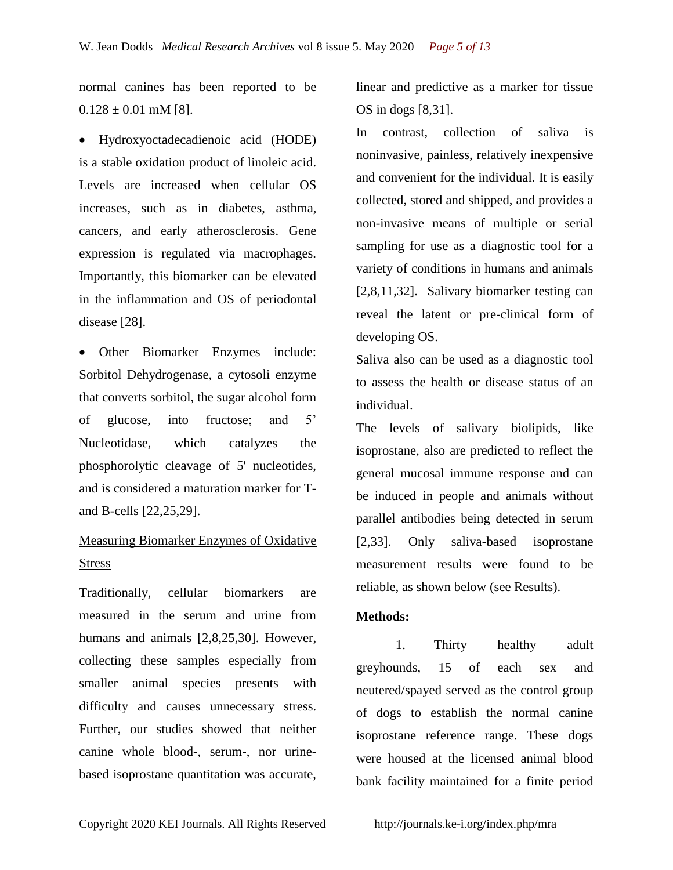normal canines has been reported to be  $0.128 \pm 0.01$  mM [8].

 Hydroxyoctadecadienoic acid (HODE) is a stable oxidation product of linoleic acid. Levels are increased when cellular OS increases, such as in diabetes, asthma, cancers, and early atherosclerosis. Gene expression is regulated via macrophages. Importantly, this biomarker can be elevated in the inflammation and OS of periodontal disease [28].

 Other Biomarker Enzymes include: Sorbitol Dehydrogenase, a cytosoli [enzyme](https://en.wikipedia.org/wiki/Enzyme)  that converts [sorbitol,](https://en.wikipedia.org/wiki/Sorbitol) the [sugar alcohol](https://en.wikipedia.org/wiki/Sugar_alcohol) form of [glucose,](https://en.wikipedia.org/wiki/Glucose) into [fructose;](https://en.wikipedia.org/wiki/Fructose) and 5' Nucleotidase, which catalyzes the phosphorolytic cleavage of 5' nucleotides, and is considered a maturation marker for [T](https://en.wikipedia.org/wiki/T_cells)and [B-cells](https://en.wikipedia.org/wiki/B_cells) [22,25,29].

# Measuring Biomarker Enzymes of Oxidative Stress

Traditionally, cellular biomarkers are measured in the serum and urine from humans and animals [2,8,25,30]. However, collecting these samples especially from smaller animal species presents with difficulty and causes unnecessary stress. Further, our studies showed that neither canine whole blood-, serum-, nor urinebased isoprostane quantitation was accurate,

linear and predictive as a marker for tissue OS in dogs [8,31].

In contrast, collection of saliva is noninvasive, painless, relatively inexpensive and convenient for the individual. It is easily collected, stored and shipped, and provides a non-invasive means of multiple or serial sampling for use as a diagnostic tool for a variety of conditions in humans and animals [2,8,11,32]. Salivary biomarker testing can reveal the latent or pre-clinical form of developing OS.

Saliva also can be used as a diagnostic tool to assess the health or disease status of an individual.

The levels of salivary biolipids, like isoprostane, also are predicted to reflect the general mucosal immune response and can be induced in people and animals without parallel antibodies being detected in serum [2,33]. Only saliva-based isoprostane measurement results were found to be reliable, as shown below (see Results).

## **Methods:**

1. Thirty healthy adult greyhounds, 15 of each sex and neutered/spayed served as the control group of dogs to establish the normal canine isoprostane reference range. These dogs were housed at the licensed animal blood bank facility maintained for a finite period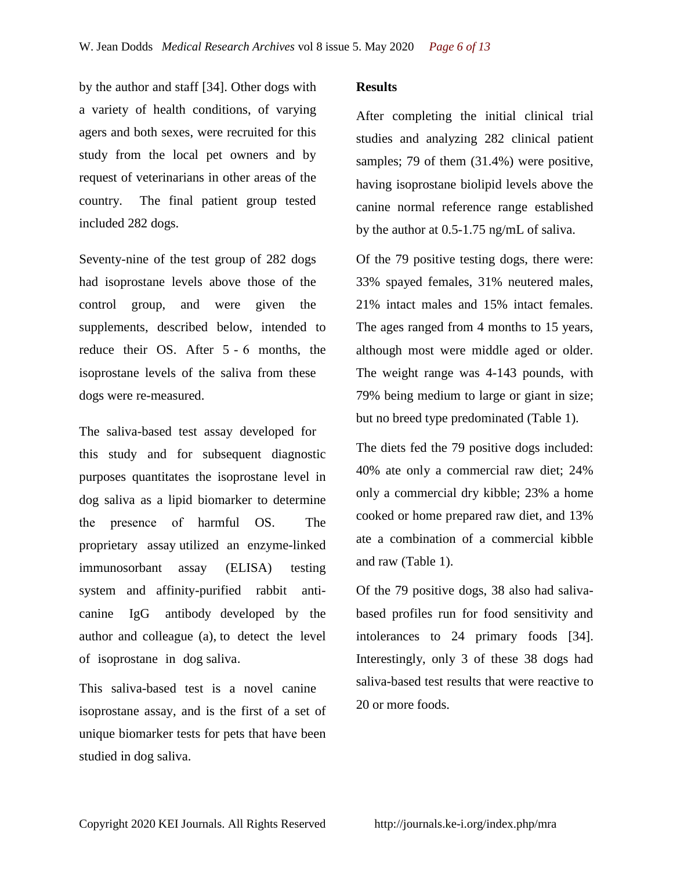by the author and staff [34]. Other dogs with a variety of health conditions, of varying agers and both sexes, were recruited for this study from the local pet owners and by request of veterinarians in other areas of the country. The final patient group tested included 282 dogs.

Seventy-nine of the test group of 282 dogs had isoprostane levels above those of the control group, and were given the supplements, described below, intended to reduce their OS. After 5 - 6 months, the isoprostane levels of the saliva from these dogs were re-measured.

The saliva-based test assay developed for this study and for subsequent diagnostic purposes quantitates the isoprostane level in dog saliva as a lipid biomarker to determine the presence of harmful OS. The proprietary assay utilized an enzyme-linked immunosorbant assay (ELISA) testing system and affinity-purified rabbit anticanine IgG antibody developed by the author and colleague (a), to detect the level of isoprostane in dog saliva.

This saliva-based test is a novel canine isoprostane assay, and is the first of a set of unique biomarker tests for pets that have been studied in dog saliva.

#### **Results**

After completing the initial clinical trial studies and analyzing 282 clinical patient samples; 79 of them  $(31.4%)$  were positive, having isoprostane biolipid levels above the canine normal reference range established by the author at 0.5-1.75 ng/mL of saliva.

Of the 79 positive testing dogs, there were: 33% spayed females, 31% neutered males, 21% intact males and 15% intact females. The ages ranged from 4 months to 15 years, although most were middle aged or older. The weight range was 4-143 pounds, with 79% being medium to large or giant in size; but no breed type predominated (Table 1).

The diets fed the 79 positive dogs included: 40% ate only a commercial raw diet; 24% only a commercial dry kibble; 23% a home cooked or home prepared raw diet, and 13% ate a combination of a commercial kibble and raw (Table 1).

Of the 79 positive dogs, 38 also had salivabased profiles run for food sensitivity and intolerances to 24 primary foods [34]. Interestingly, only 3 of these 38 dogs had saliva-based test results that were reactive to 20 or more foods.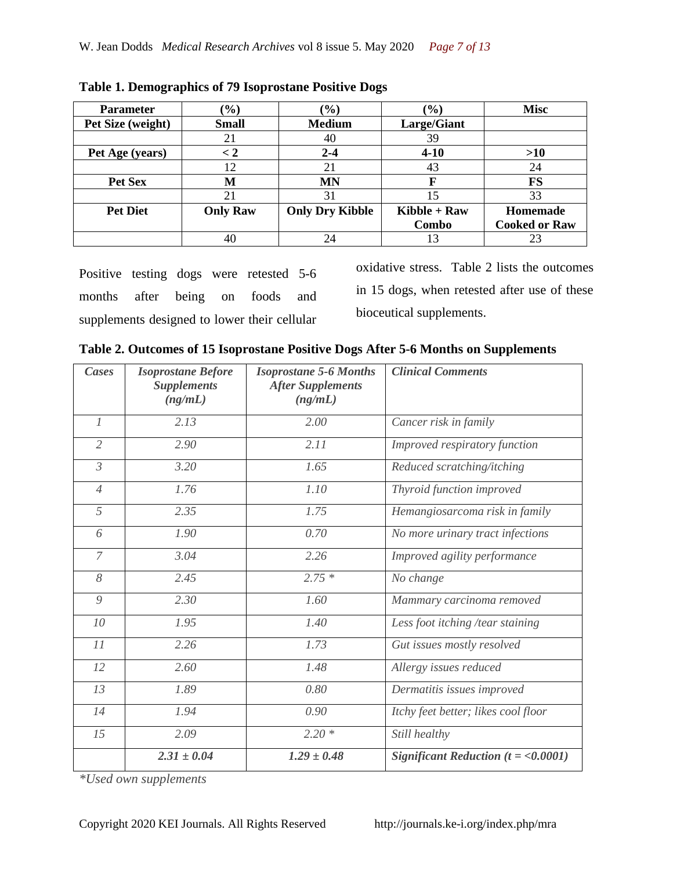| <b>Parameter</b>  | $\frac{1}{2}$   | $(\%)$                 | $(\%)$         | <b>Misc</b>          |
|-------------------|-----------------|------------------------|----------------|----------------------|
| Pet Size (weight) | <b>Small</b>    | <b>Medium</b>          | Large/Giant    |                      |
|                   | 21              | 40                     | 39             |                      |
| Pet Age (years)   | $\lt 2$         | $2 - 4$                | $4 - 10$       | >10                  |
|                   | 12              | 21                     | 43             | 24                   |
| Pet Sex           | M               | <b>MN</b>              | F              | <b>FS</b>            |
|                   | 21              | 31                     | 15             | 33                   |
| <b>Pet Diet</b>   | <b>Only Raw</b> | <b>Only Dry Kibble</b> | $Kibble + Raw$ | Homemade             |
|                   |                 |                        | Combo          | <b>Cooked or Raw</b> |
|                   | 40              | 24                     | 13             |                      |

|  |  | Table 1. Demographics of 79 Isoprostane Positive Dogs |
|--|--|-------------------------------------------------------|
|  |  |                                                       |

Positive testing dogs were retested 5-6 months after being on foods and supplements designed to lower their cellular

oxidative stress. Table 2 lists the outcomes in 15 dogs, when retested after use of these bioceutical supplements.

|  |  |  | Table 2. Outcomes of 15 Isoprostane Positive Dogs After 5-6 Months on Supplements |
|--|--|--|-----------------------------------------------------------------------------------|
|  |  |  |                                                                                   |

| Cases          | <b>Isoprostane Before</b><br><b>Supplements</b><br>(ng/mL) | <b>Isoprostane 5-6 Months</b><br><b>After Supplements</b><br>(ng/mL) | <b>Clinical Comments</b>                |
|----------------|------------------------------------------------------------|----------------------------------------------------------------------|-----------------------------------------|
| $\overline{l}$ | 2.13                                                       | 2.00                                                                 | Cancer risk in family                   |
| $\overline{2}$ | 2.90                                                       | 2.11                                                                 | Improved respiratory function           |
| $\mathfrak{Z}$ | 3.20                                                       | 1.65                                                                 | Reduced scratching/itching              |
| $\overline{4}$ | 1.76                                                       | 1.10                                                                 | Thyroid function improved               |
| 5              | 2.35                                                       | 1.75                                                                 | Hemangiosarcoma risk in family          |
| 6              | 1.90                                                       | 0.70                                                                 | No more urinary tract infections        |
| $\overline{7}$ | 3.04                                                       | 2.26                                                                 | Improved agility performance            |
| 8              | 2.45                                                       | $2.75*$                                                              | No change                               |
| 9              | 2.30                                                       | 1.60                                                                 | Mammary carcinoma removed               |
| 10             | 1.95                                                       | 1.40                                                                 | Less foot itching /tear staining        |
| 11             | 2.26                                                       | 1.73                                                                 | Gut issues mostly resolved              |
| 12             | 2.60                                                       | 1.48                                                                 | Allergy issues reduced                  |
| 13             | 1.89                                                       | 0.80                                                                 | Dermatitis issues improved              |
| 14             | 1.94                                                       | 0.90                                                                 | Itchy feet better; likes cool floor     |
| 15             | 2.09                                                       | $2.20*$                                                              | Still healthy                           |
|                | $2.31 \pm 0.04$                                            | $1.29 \pm 0.48$                                                      | Significant Reduction ( $t = <0.0001$ ) |

*\*Used own supplements*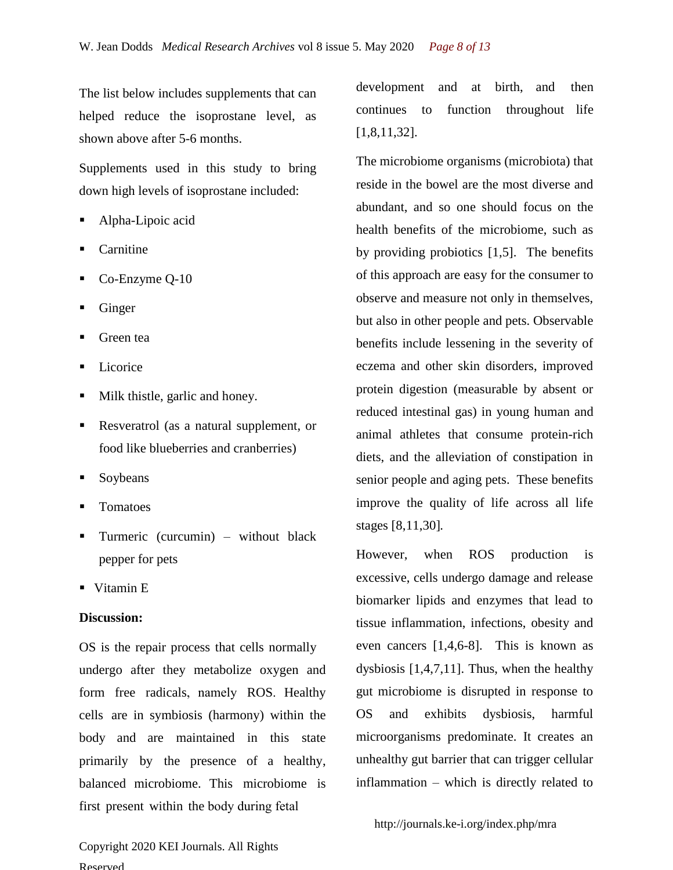The list below includes supplements that can helped reduce the isoprostane level, as shown above after 5-6 months.

Supplements used in this study to bring down high levels of isoprostane included:

- Alpha-Lipoic acid
- Carnitine
- Co-Enzyme Q-10
- Ginger
- Green tea
- Licorice
- Milk thistle, garlic and honey.
- Resveratrol (as a natural supplement, or food like blueberries and cranberries)
- Soybeans
- Tomatoes
- Turmeric (curcumin) without black pepper for pets
- Vitamin E

#### **Discussion:**

OS is the repair process that cells normally undergo after they metabolize oxygen and form free radicals, namely ROS. Healthy cells are in symbiosis (harmony) within the body and are maintained in this state primarily by the presence of a healthy, balanced microbiome. This microbiome is first present within the body during fetal

Copyright 2020 KEI Journals. All Rights Reserved

development and at birth, and then continues to function throughout life [1,8,11,32].

The microbiome organisms (microbiota) that reside in the bowel are the most diverse and abundant, and so one should focus on the health benefits of the microbiome, such as by providing probiotics [1,5]. The benefits of this approach are easy for the consumer to observe and measure not only in themselves, but also in other people and pets. Observable benefits include lessening in the severity of eczema and other skin disorders, improved protein digestion (measurable by absent or reduced intestinal gas) in young human and animal athletes that consume protein-rich diets, and the alleviation of constipation in senior people and aging pets. These benefits improve the quality of life across all life stages [8,11,30].

However, when ROS production is excessive, cells undergo damage and release biomarker lipids and enzymes that lead to tissue inflammation, infections, obesity and even cancers [1,4,6-8]. This is known as dysbiosis [1,4,7,11]. Thus, when the healthy gut microbiome is disrupted in response to OS and exhibits dysbiosis, harmful microorganisms predominate. It creates an unhealthy gut barrier that can trigger cellular inflammation – which is directly related to

http://journals.ke-i.org/index.php/mra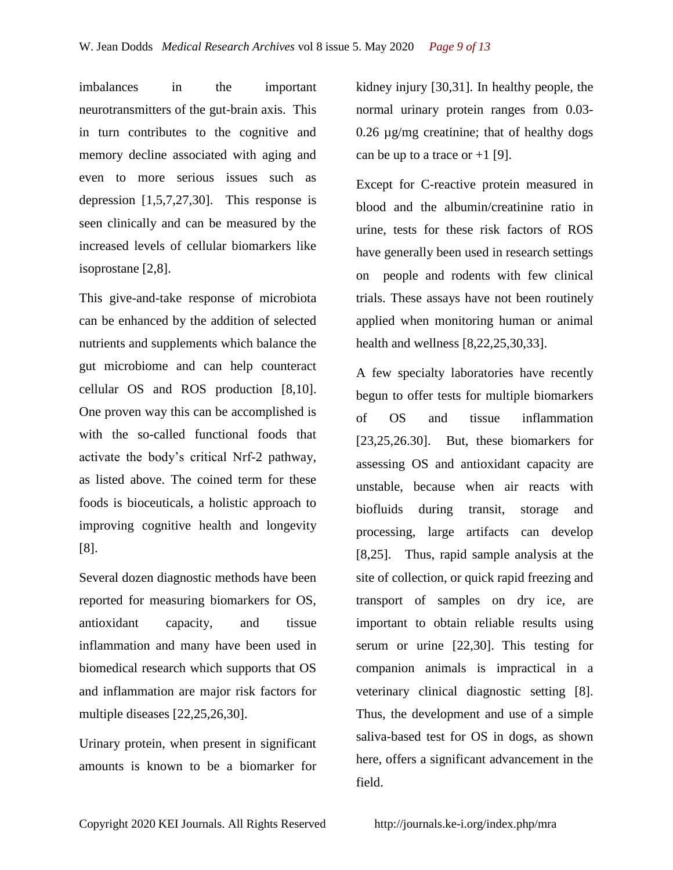imbalances in the important neurotransmitters of the gut-brain axis. This in turn contributes to the cognitive and memory decline associated with aging and even to more serious issues such as depression [1,5,7,27,30]. This response is seen clinically and can be measured by the increased levels of cellular biomarkers like isoprostane [2,8].

This give-and-take response of microbiota can be enhanced by the addition of selected nutrients and supplements which balance the gut microbiome and can help counteract cellular OS and ROS production [8,10]. One proven way this can be accomplished is with the so-called functional foods that activate the body's critical Nrf-2 pathway, as listed above. The coined term for these foods is bioceuticals, a holistic approach to improving cognitive health and longevity [8].

Several dozen diagnostic methods have been reported for measuring biomarkers for OS, antioxidant capacity, and tissue inflammation and many have been used in biomedical research which supports that OS and inflammation are major risk factors for multiple diseases [22,25,26,30].

Urinary protein, when present in significant amounts is known to be a biomarker for

kidney injury [30,31]. In healthy people, the normal urinary protein ranges from 0.03- 0.26 µg/mg creatinine; that of healthy dogs can be up to a trace or  $+1$  [9].

Except for C-reactive protein measured in blood and the albumin/creatinine ratio in urine, tests for these risk factors of ROS have generally been used in research settings on people and rodents with few clinical trials. These assays have not been routinely applied when monitoring human or animal health and wellness [8,22,25,30,33].

A few specialty laboratories have recently begun to offer tests for multiple biomarkers of OS and tissue inflammation [23,25,26.30]. But, these biomarkers for assessing OS and antioxidant capacity are unstable, because when air reacts with biofluids during transit, storage and processing, large artifacts can develop [8,25]. Thus, rapid sample analysis at the site of collection, or quick rapid freezing and transport of samples on dry ice, are important to obtain reliable results using serum or urine [22,30]. This testing for companion animals is impractical in a veterinary clinical diagnostic setting [8]. Thus, the development and use of a simple saliva-based test for OS in dogs, as shown here, offers a significant advancement in the field.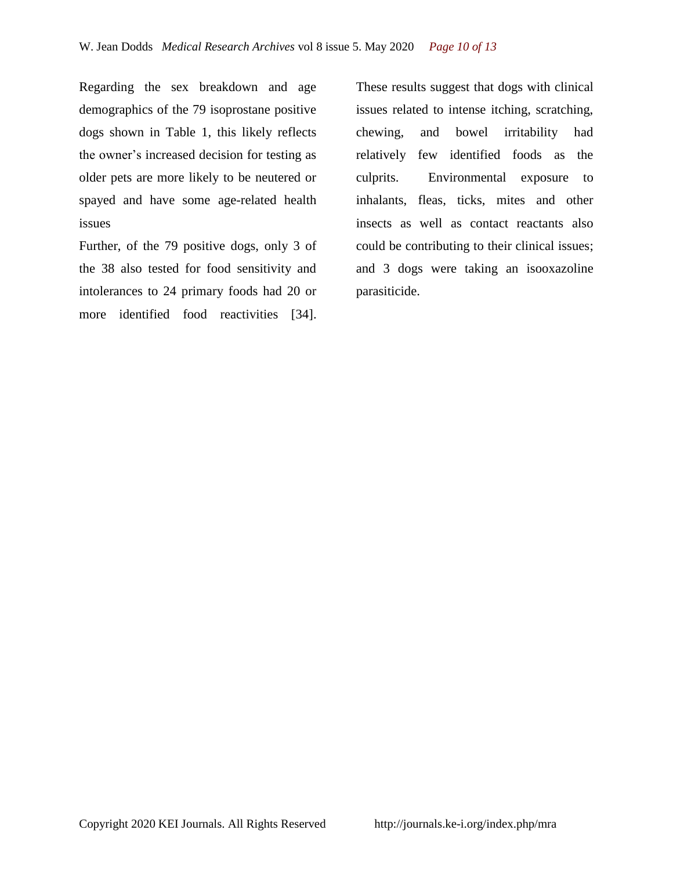Regarding the sex breakdown and age demographics of the 79 isoprostane positive dogs shown in Table 1, this likely reflects the owner's increased decision for testing as older pets are more likely to be neutered or spayed and have some age-related health issues

Further, of the 79 positive dogs, only 3 of the 38 also tested for food sensitivity and intolerances to 24 primary foods had 20 or more identified food reactivities [34].

These results suggest that dogs with clinical issues related to intense itching, scratching, chewing, and bowel irritability had relatively few identified foods as the culprits. Environmental exposure to inhalants, fleas, ticks, mites and other insects as well as contact reactants also could be contributing to their clinical issues; and 3 dogs were taking an isooxazoline parasiticide.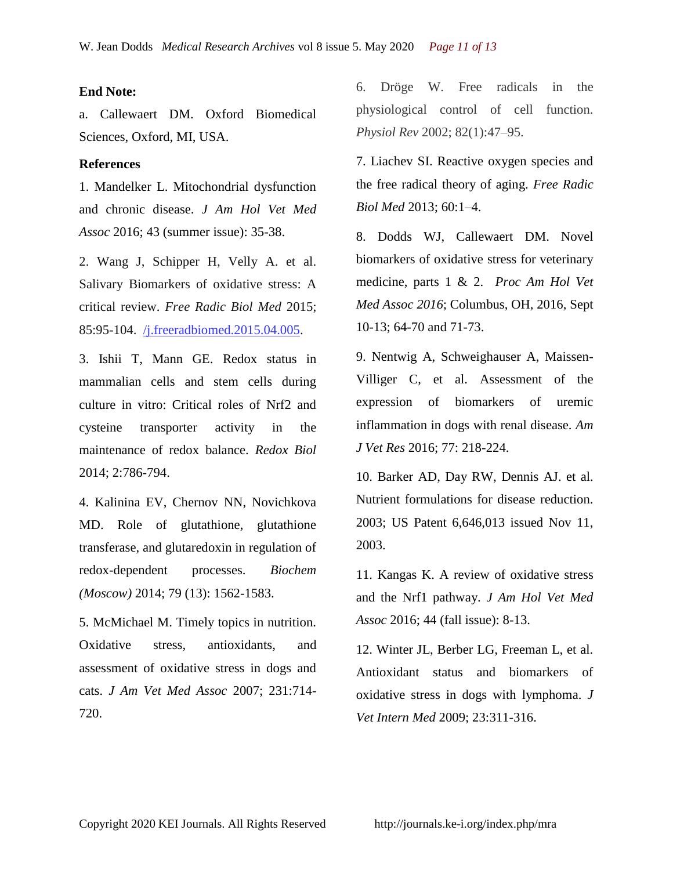### **End Note:**

a. Callewaert DM. Oxford Biomedical Sciences, Oxford, MI, USA.

### **References**

1. Mandelker L. Mitochondrial dysfunction and chronic disease. *J Am Hol Vet Med Assoc* 2016; 43 (summer issue): 35-38.

2. Wang J, Schipper H, Velly A. et al. Salivary Biomarkers of oxidative stress: A critical review. *Free Radic Biol Med* 2015; 85:95-104. /j.freeradbiomed.2015.04.005.

3. Ishii T, Mann GE. Redox status in mammalian cells and stem cells during culture in vitro: Critical roles of Nrf2 and cysteine transporter activity in the maintenance of redox balance. *Redox Biol* 2014; 2:786-794.

4. Kalinina EV, Chernov NN, Novichkova MD. Role of glutathione, glutathione transferase, and glutaredoxin in regulation of redox-dependent processes. *Biochem (Moscow)* 2014; 79 (13): 1562-1583.

5. McMichael M. Timely topics in nutrition. Oxidative stress, antioxidants, and assessment of oxidative stress in dogs and cats. *J Am Vet Med Assoc* 2007; 231:714- 720.

6. Dröge W. Free radicals in the physiological control of cell function. *Physiol Rev* 2002; 82(1):47–95.

7. Liachev SI. Reactive oxygen species and the free radical theory of aging. *Free Radic Biol Med* 2013; 60:1–4.

8. Dodds WJ, Callewaert DM. Novel biomarkers of oxidative stress for veterinary medicine, parts 1 & 2. *Proc Am Hol Vet Med Assoc 2016*; Columbus, OH, 2016, Sept 10-13; 64-70 and 71-73.

9. Nentwig A, Schweighauser A, Maissen-Villiger C, et al. Assessment of the expression of biomarkers of uremic inflammation in dogs with renal disease. *Am J Vet Res* 2016; 77: 218-224.

10. Barker AD, Day RW, Dennis AJ. et al. Nutrient formulations for disease reduction. 2003; US Patent 6,646,013 issued Nov 11, 2003.

11. Kangas K. A review of oxidative stress and the Nrf1 pathway. *J Am Hol Vet Med Assoc* 2016; 44 (fall issue): 8-13.

12. Winter JL, Berber LG, Freeman L, et al. Antioxidant status and biomarkers of oxidative stress in dogs with lymphoma. *J Vet Intern Med* 2009; 23:311-316.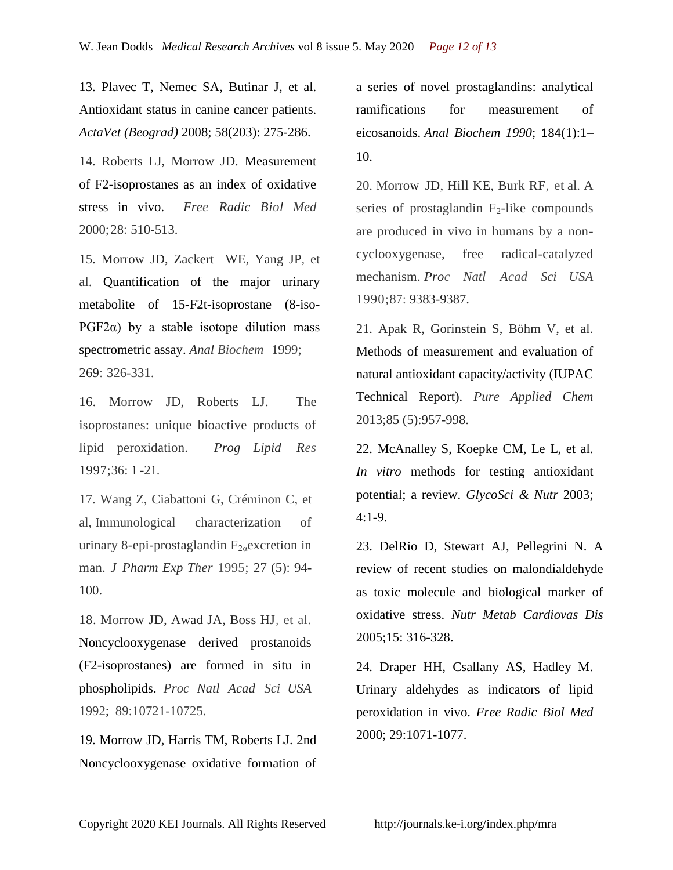13. Plavec T, Nemec SA, Butinar J, et al. Antioxidant status in canine cancer patients. *ActaVet (Beograd)* 2008; 58(203): 275-286.

14. Roberts LJ, Morrow JD. Measurement of F2-isoprostanes as an index of oxidative stress in vivo. *Free Radic Biol Med* 2000;28: 510-513.

15. Morrow JD, Zackert WE, Yang JP, et al. [Quantification of the major urinary](https://www.sciencedirect.com/science/article/pii/S0003269799940083)  [metabolite of 15-F2t-isoprostane \(8-iso-](https://www.sciencedirect.com/science/article/pii/S0003269799940083)PGF2 $\alpha$ ) by a stable isotope dilution mass [spectrometric assay.](https://www.sciencedirect.com/science/article/pii/S0003269799940083) *Anal Biochem* 1999; 269: 326-331.

16. Morrow JD, Roberts LJ. The isoprostanes: unique bioactive products of lipid peroxidation. *Prog Lipid Res* 1997;36: 1 -21.

17. Wang Z, Ciabattoni G, Créminon C, et al, Immunological characterization of urinary 8-epi-prostaglandin  $F_{2a}$ excretion in man. *J Pharm Exp Ther* 1995; 27 (5): 94- 100.

18. Morrow JD, Awad JA, Boss HJ, et al. Noncyclooxygenase derived prostanoids (F2-isoprostanes) are formed in situ in phospholipids. *Proc Natl Acad Sci USA* 1992; 89:10721-10725.

19. Morrow JD, Harris TM, Roberts LJ. 2nd Noncyclooxygenase oxidative formation of a series of novel prostaglandins: analytical ramifications for measurement of eicosanoids. *Anal Biochem 1990*; 184(1):1– 10.

20. Morrow JD, Hill KE, Burk RF, et al. A series of prostaglandin  $F_2$ -like compounds are produced in vivo in humans by a noncyclooxygenase, free radical-catalyzed mechanism. *Proc Natl Acad Sci USA* 1990;87: 9383-9387.

21. Apak R, Gorinstein S, Böhm V, et al. Methods of measurement and evaluation of natural antioxidant capacity/activity (IUPAC Technical Report). *Pure Applied Chem* 2013;85 (5):957-998.

22. McAnalley S, Koepke CM, Le L, et al. *In vitro* methods for testing antioxidant potential; a review. *GlycoSci & Nutr* 2003; 4:1-9.

23. DelRio D, Stewart AJ, Pellegrini N. A review of recent studies on malondialdehyde as toxic molecule and biological marker of oxidative stress. *Nutr Metab Cardiovas Dis* 2005;15: 316-328.

24. Draper HH, Csallany AS, Hadley M. Urinary aldehydes as indicators of lipid peroxidation in vivo. *Free Radic Biol Med* 2000; 29:1071-1077.